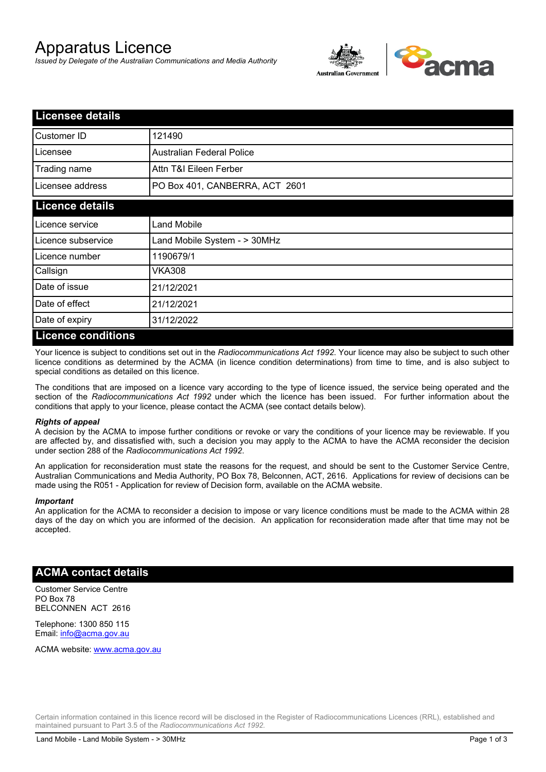# Apparatus Licence

*Issued by Delegate of the Australian Communications and Media Authority*



| <b>Licensee details</b> |                                  |  |
|-------------------------|----------------------------------|--|
| Customer ID             | 121490                           |  |
| Licensee                | <b>Australian Federal Police</b> |  |
| Trading name            | Attn T&I Eileen Ferber           |  |
| Licensee address        | PO Box 401, CANBERRA, ACT 2601   |  |
| <b>Licence details</b>  |                                  |  |
| Licence service         | <b>Land Mobile</b>               |  |
| Licence subservice      | Land Mobile System - > 30MHz     |  |
| Licence number          | 1190679/1                        |  |
| Callsign                | VKA308                           |  |
| Date of issue           | 21/12/2021                       |  |
| Date of effect          | 21/12/2021                       |  |
| Date of expiry          | 31/12/2022                       |  |
| l iconco conditione     |                                  |  |

#### **Licence conditions**

Your licence is subject to conditions set out in the *Radiocommunications Act 1992*. Your licence may also be subject to such other licence conditions as determined by the ACMA (in licence condition determinations) from time to time, and is also subject to special conditions as detailed on this licence.

The conditions that are imposed on a licence vary according to the type of licence issued, the service being operated and the section of the *Radiocommunications Act 1992* under which the licence has been issued. For further information about the conditions that apply to your licence, please contact the ACMA (see contact details below).

#### *Rights of appeal*

A decision by the ACMA to impose further conditions or revoke or vary the conditions of your licence may be reviewable. If you are affected by, and dissatisfied with, such a decision you may apply to the ACMA to have the ACMA reconsider the decision under section 288 of the *Radiocommunications Act 1992*.

An application for reconsideration must state the reasons for the request, and should be sent to the Customer Service Centre, Australian Communications and Media Authority, PO Box 78, Belconnen, ACT, 2616. Applications for review of decisions can be made using the R051 - Application for review of Decision form, available on the ACMA website.

#### *Important*

An application for the ACMA to reconsider a decision to impose or vary licence conditions must be made to the ACMA within 28 days of the day on which you are informed of the decision. An application for reconsideration made after that time may not be accepted.

### **ACMA contact details**

Customer Service Centre PO Box 78 BELCONNEN ACT 2616

Telephone: 1300 850 115 Email: info@acma.gov.au

ACMA website: www.acma.gov.au

Certain information contained in this licence record will be disclosed in the Register of Radiocommunications Licences (RRL), established and maintained pursuant to Part 3.5 of the *Radiocommunications Act 1992.*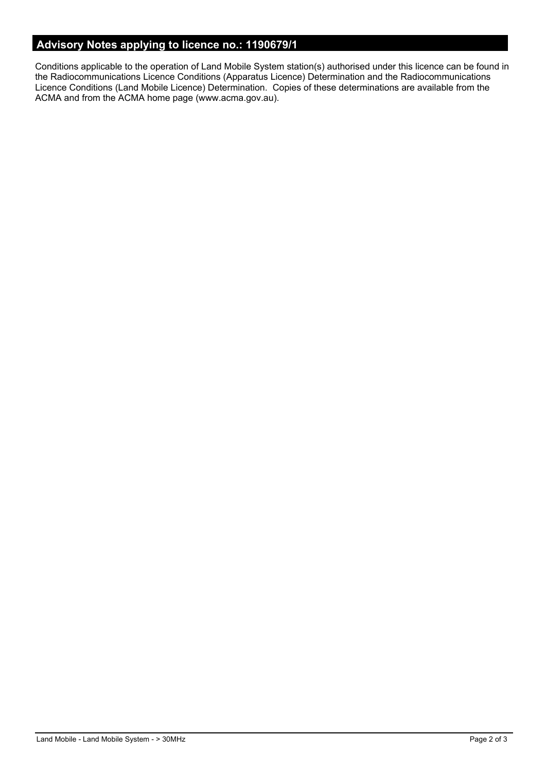# **Advisory Notes applying to licence no.: 1190679/1**

Conditions applicable to the operation of Land Mobile System station(s) authorised under this licence can be found in the Radiocommunications Licence Conditions (Apparatus Licence) Determination and the Radiocommunications Licence Conditions (Land Mobile Licence) Determination. Copies of these determinations are available from the ACMA and from the ACMA home page (www.acma.gov.au).